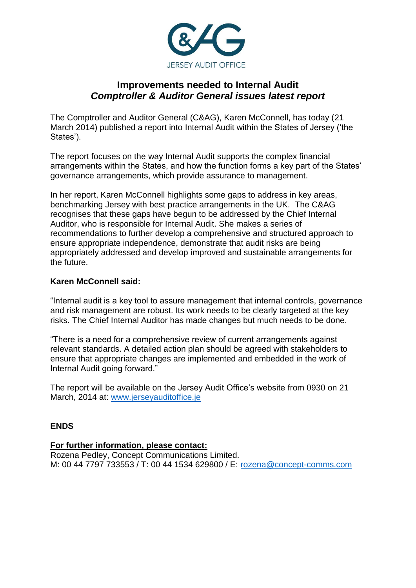

# **Improvements needed to Internal Audit** *Comptroller & Auditor General issues latest report*

The Comptroller and Auditor General (C&AG), Karen McConnell, has today (21 March 2014) published a report into Internal Audit within the States of Jersey ('the States').

The report focuses on the way Internal Audit supports the complex financial arrangements within the States, and how the function forms a key part of the States' governance arrangements, which provide assurance to management.

In her report, Karen McConnell highlights some gaps to address in key areas, benchmarking Jersey with best practice arrangements in the UK. The C&AG recognises that these gaps have begun to be addressed by the Chief Internal Auditor, who is responsible for Internal Audit. She makes a series of recommendations to further develop a comprehensive and structured approach to ensure appropriate independence, demonstrate that audit risks are being appropriately addressed and develop improved and sustainable arrangements for the future.

## **Karen McConnell said:**

"Internal audit is a key tool to assure management that internal controls, governance and risk management are robust. Its work needs to be clearly targeted at the key risks. The Chief Internal Auditor has made changes but much needs to be done.

"There is a need for a comprehensive review of current arrangements against relevant standards. A detailed action plan should be agreed with stakeholders to ensure that appropriate changes are implemented and embedded in the work of Internal Audit going forward."

The report will be available on the Jersey Audit Office's website from 0930 on 21 March, 2014 at: [www.jerseyauditoffice.je](http://www.jerseyauditoffice.je/)

#### **ENDS**

#### **For further information, please contact:**

Rozena Pedley, Concept Communications Limited. M: 00 44 7797 733553 / T: 00 44 1534 629800 / E: [rozena@concept-comms.com](mailto:rozena@concept-comms.com)